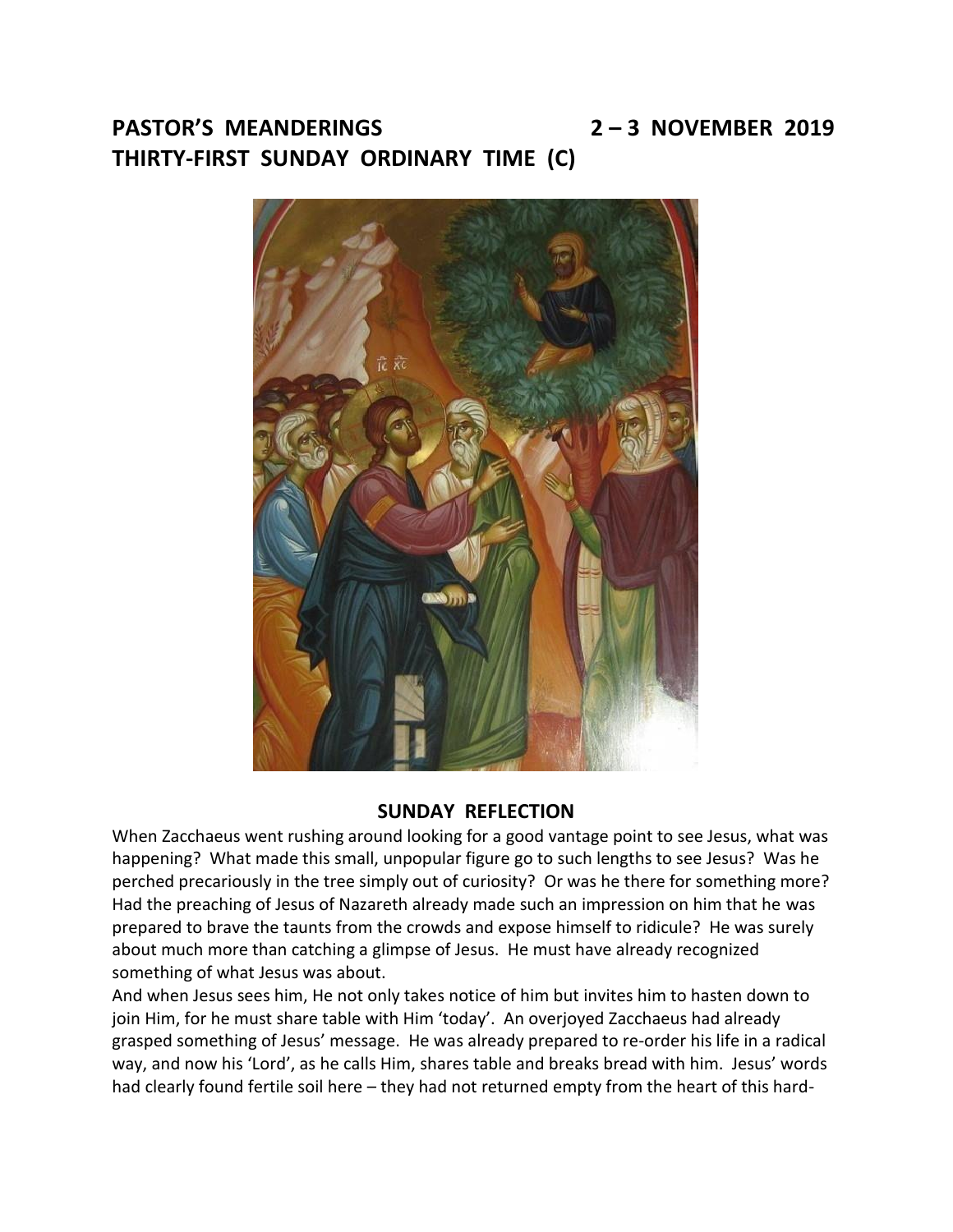## **PASTOR'S MEANDERINGS 2 – 3 NOVEMBER 2019 THIRTY-FIRST SUNDAY ORDINARY TIME (C)**



# **SUNDAY REFLECTION**

When Zacchaeus went rushing around looking for a good vantage point to see Jesus, what was happening? What made this small, unpopular figure go to such lengths to see Jesus? Was he perched precariously in the tree simply out of curiosity? Or was he there for something more? Had the preaching of Jesus of Nazareth already made such an impression on him that he was prepared to brave the taunts from the crowds and expose himself to ridicule? He was surely about much more than catching a glimpse of Jesus. He must have already recognized something of what Jesus was about.

And when Jesus sees him, He not only takes notice of him but invites him to hasten down to join Him, for he must share table with Him 'today'. An overjoyed Zacchaeus had already grasped something of Jesus' message. He was already prepared to re-order his life in a radical way, and now his 'Lord', as he calls Him, shares table and breaks bread with him. Jesus' words had clearly found fertile soil here – they had not returned empty from the heart of this hard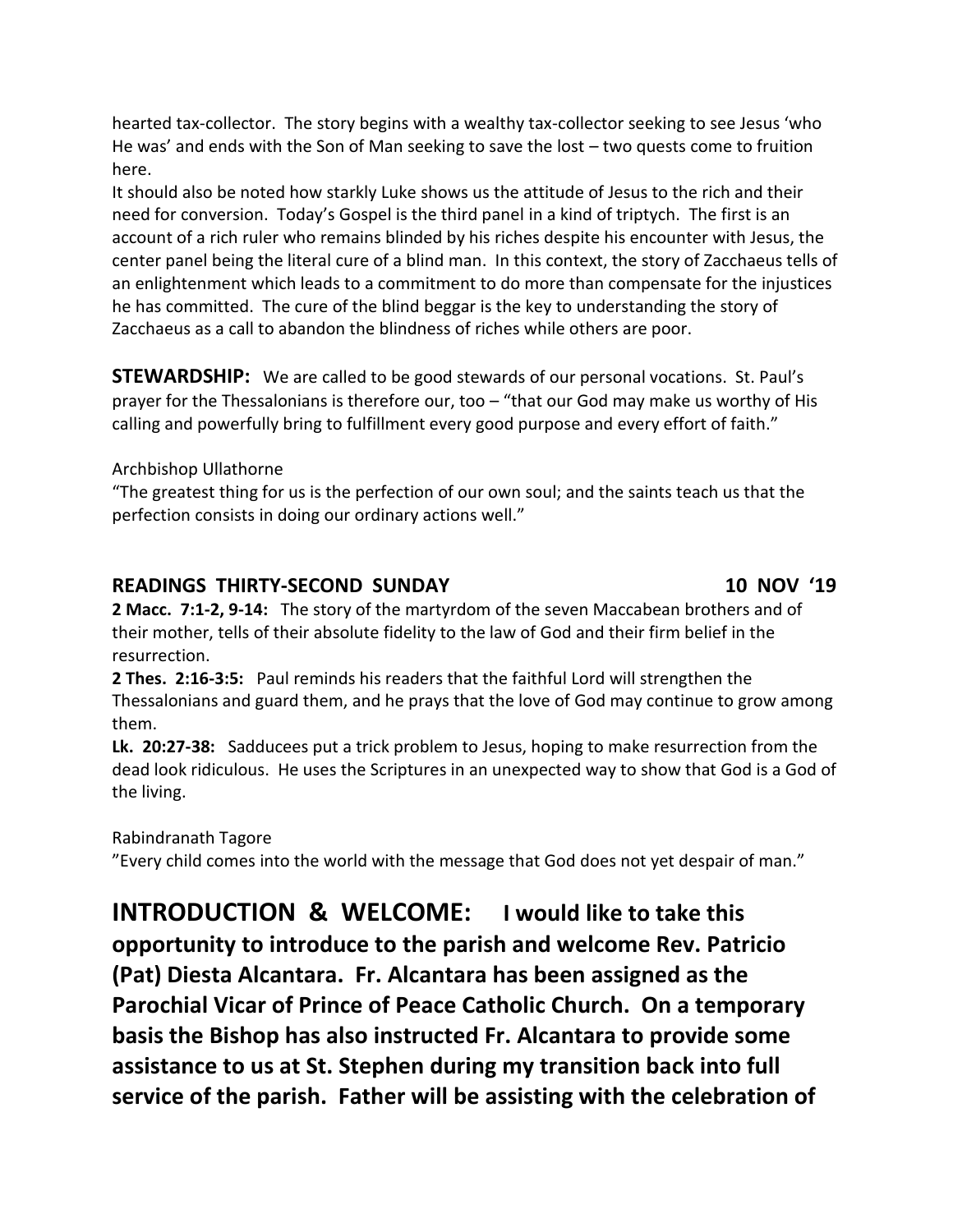hearted tax-collector. The story begins with a wealthy tax-collector seeking to see Jesus 'who He was' and ends with the Son of Man seeking to save the lost – two quests come to fruition here.

It should also be noted how starkly Luke shows us the attitude of Jesus to the rich and their need for conversion. Today's Gospel is the third panel in a kind of triptych. The first is an account of a rich ruler who remains blinded by his riches despite his encounter with Jesus, the center panel being the literal cure of a blind man. In this context, the story of Zacchaeus tells of an enlightenment which leads to a commitment to do more than compensate for the injustices he has committed. The cure of the blind beggar is the key to understanding the story of Zacchaeus as a call to abandon the blindness of riches while others are poor.

**STEWARDSHIP:** We are called to be good stewards of our personal vocations. St. Paul's prayer for the Thessalonians is therefore our, too – "that our God may make us worthy of His calling and powerfully bring to fulfillment every good purpose and every effort of faith."

Archbishop Ullathorne

"The greatest thing for us is the perfection of our own soul; and the saints teach us that the perfection consists in doing our ordinary actions well."

### **READINGS THIRTY-SECOND SUNDAY 10 NOV '19**

**2 Macc. 7:1-2, 9-14:** The story of the martyrdom of the seven Maccabean brothers and of their mother, tells of their absolute fidelity to the law of God and their firm belief in the resurrection.

**2 Thes. 2:16-3:5:** Paul reminds his readers that the faithful Lord will strengthen the Thessalonians and guard them, and he prays that the love of God may continue to grow among them.

**Lk. 20:27-38:** Sadducees put a trick problem to Jesus, hoping to make resurrection from the dead look ridiculous. He uses the Scriptures in an unexpected way to show that God is a God of the living.

Rabindranath Tagore

"Every child comes into the world with the message that God does not yet despair of man."

**INTRODUCTION & WELCOME: I would like to take this opportunity to introduce to the parish and welcome Rev. Patricio (Pat) Diesta Alcantara. Fr. Alcantara has been assigned as the Parochial Vicar of Prince of Peace Catholic Church. On a temporary basis the Bishop has also instructed Fr. Alcantara to provide some assistance to us at St. Stephen during my transition back into full service of the parish. Father will be assisting with the celebration of**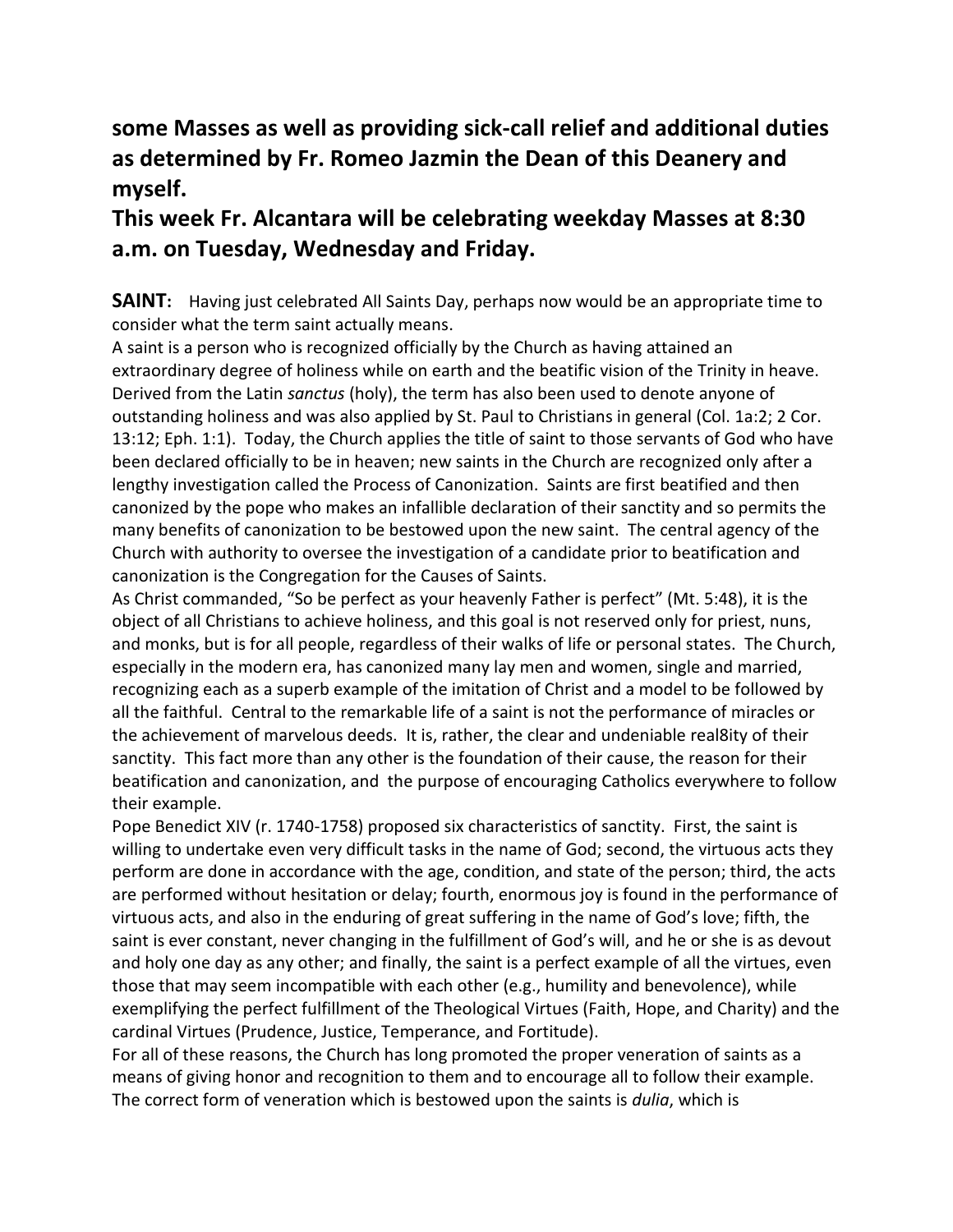## **some Masses as well as providing sick-call relief and additional duties as determined by Fr. Romeo Jazmin the Dean of this Deanery and myself.**

## **This week Fr. Alcantara will be celebrating weekday Masses at 8:30 a.m. on Tuesday, Wednesday and Friday.**

**SAINT:** Having just celebrated All Saints Day, perhaps now would be an appropriate time to consider what the term saint actually means.

A saint is a person who is recognized officially by the Church as having attained an extraordinary degree of holiness while on earth and the beatific vision of the Trinity in heave. Derived from the Latin *sanctus* (holy), the term has also been used to denote anyone of outstanding holiness and was also applied by St. Paul to Christians in general (Col. 1a:2; 2 Cor. 13:12; Eph. 1:1). Today, the Church applies the title of saint to those servants of God who have been declared officially to be in heaven; new saints in the Church are recognized only after a lengthy investigation called the Process of Canonization. Saints are first beatified and then canonized by the pope who makes an infallible declaration of their sanctity and so permits the many benefits of canonization to be bestowed upon the new saint. The central agency of the Church with authority to oversee the investigation of a candidate prior to beatification and canonization is the Congregation for the Causes of Saints.

As Christ commanded, "So be perfect as your heavenly Father is perfect" (Mt. 5:48), it is the object of all Christians to achieve holiness, and this goal is not reserved only for priest, nuns, and monks, but is for all people, regardless of their walks of life or personal states. The Church, especially in the modern era, has canonized many lay men and women, single and married, recognizing each as a superb example of the imitation of Christ and a model to be followed by all the faithful. Central to the remarkable life of a saint is not the performance of miracles or the achievement of marvelous deeds. It is, rather, the clear and undeniable real8ity of their sanctity. This fact more than any other is the foundation of their cause, the reason for their beatification and canonization, and the purpose of encouraging Catholics everywhere to follow their example.

Pope Benedict XIV (r. 1740-1758) proposed six characteristics of sanctity. First, the saint is willing to undertake even very difficult tasks in the name of God; second, the virtuous acts they perform are done in accordance with the age, condition, and state of the person; third, the acts are performed without hesitation or delay; fourth, enormous joy is found in the performance of virtuous acts, and also in the enduring of great suffering in the name of God's love; fifth, the saint is ever constant, never changing in the fulfillment of God's will, and he or she is as devout and holy one day as any other; and finally, the saint is a perfect example of all the virtues, even those that may seem incompatible with each other (e.g., humility and benevolence), while exemplifying the perfect fulfillment of the Theological Virtues (Faith, Hope, and Charity) and the cardinal Virtues (Prudence, Justice, Temperance, and Fortitude).

For all of these reasons, the Church has long promoted the proper veneration of saints as a means of giving honor and recognition to them and to encourage all to follow their example. The correct form of veneration which is bestowed upon the saints is *dulia*, which is